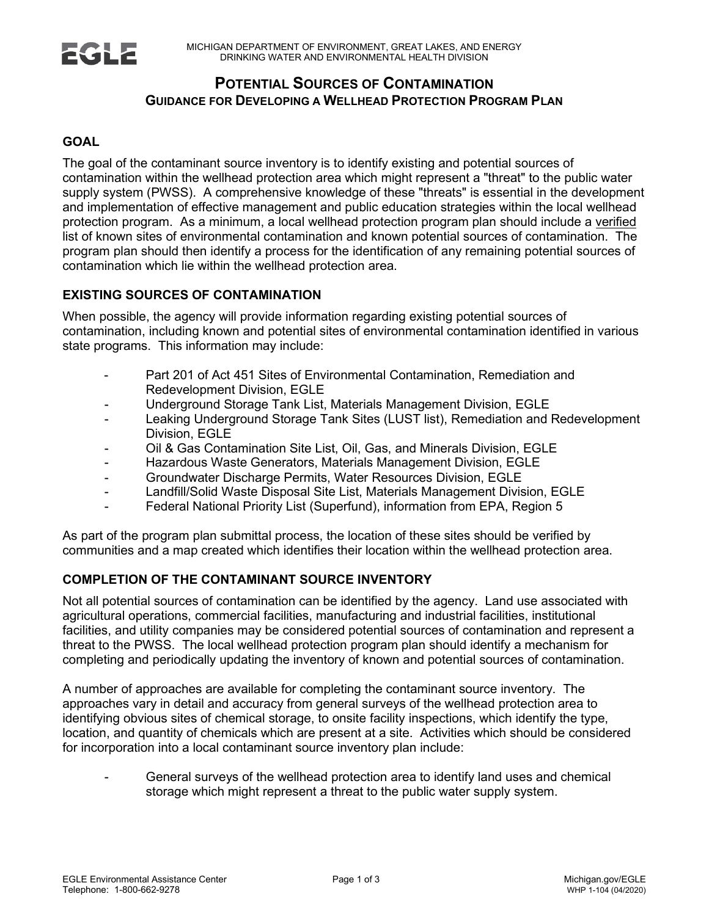# **POTENTIAL SOURCES OF CONTAMINATION GUIDANCE FOR DEVELOPING A WELLHEAD PROTECTION PROGRAM PLAN**

## **GOAL**

**ZGL**Z

The goal of the contaminant source inventory is to identify existing and potential sources of contamination within the wellhead protection area which might represent a "threat" to the public water supply system (PWSS). A comprehensive knowledge of these "threats" is essential in the development and implementation of effective management and public education strategies within the local wellhead protection program. As a minimum, a local wellhead protection program plan should include a verified list of known sites of environmental contamination and known potential sources of contamination. The program plan should then identify a process for the identification of any remaining potential sources of contamination which lie within the wellhead protection area.

### **EXISTING SOURCES OF CONTAMINATION**

When possible, the agency will provide information regarding existing potential sources of contamination, including known and potential sites of environmental contamination identified in various state programs. This information may include:

- Part 201 of Act 451 Sites of Environmental Contamination, Remediation and Redevelopment Division, EGLE
- Underground Storage Tank List, Materials Management Division, EGLE
- Leaking Underground Storage Tank Sites (LUST list), Remediation and Redevelopment Division, EGLE
- Oil & Gas Contamination Site List, Oil, Gas, and Minerals Division, EGLE
- Hazardous Waste Generators, Materials Management Division, EGLE
- Groundwater Discharge Permits, Water Resources Division, EGLE
- Landfill/Solid Waste Disposal Site List, Materials Management Division, EGLE
- Federal National Priority List (Superfund), information from EPA, Region 5

As part of the program plan submittal process, the location of these sites should be verified by communities and a map created which identifies their location within the wellhead protection area.

### **COMPLETION OF THE CONTAMINANT SOURCE INVENTORY**

Not all potential sources of contamination can be identified by the agency. Land use associated with agricultural operations, commercial facilities, manufacturing and industrial facilities, institutional facilities, and utility companies may be considered potential sources of contamination and represent a threat to the PWSS. The local wellhead protection program plan should identify a mechanism for completing and periodically updating the inventory of known and potential sources of contamination.

A number of approaches are available for completing the contaminant source inventory. The approaches vary in detail and accuracy from general surveys of the wellhead protection area to identifying obvious sites of chemical storage, to onsite facility inspections, which identify the type, location, and quantity of chemicals which are present at a site. Activities which should be considered for incorporation into a local contaminant source inventory plan include:

General surveys of the wellhead protection area to identify land uses and chemical storage which might represent a threat to the public water supply system.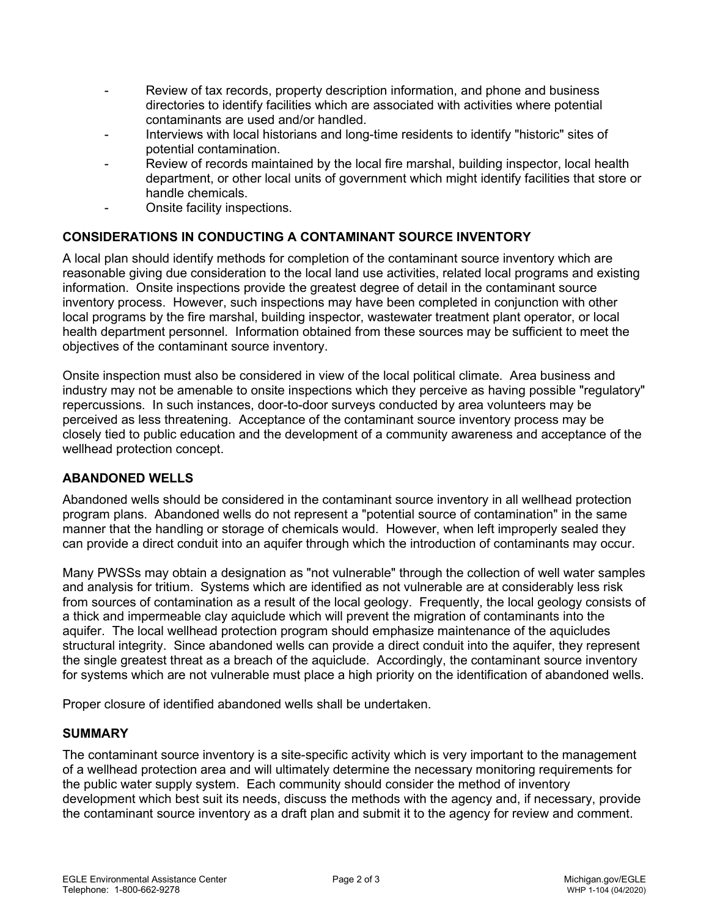- Review of tax records, property description information, and phone and business directories to identify facilities which are associated with activities where potential contaminants are used and/or handled.
- Interviews with local historians and long-time residents to identify "historic" sites of potential contamination.
- Review of records maintained by the local fire marshal, building inspector, local health department, or other local units of government which might identify facilities that store or handle chemicals.
- Onsite facility inspections.

## **CONSIDERATIONS IN CONDUCTING A CONTAMINANT SOURCE INVENTORY**

A local plan should identify methods for completion of the contaminant source inventory which are reasonable giving due consideration to the local land use activities, related local programs and existing information. Onsite inspections provide the greatest degree of detail in the contaminant source inventory process. However, such inspections may have been completed in conjunction with other local programs by the fire marshal, building inspector, wastewater treatment plant operator, or local health department personnel. Information obtained from these sources may be sufficient to meet the objectives of the contaminant source inventory.

Onsite inspection must also be considered in view of the local political climate. Area business and industry may not be amenable to onsite inspections which they perceive as having possible "regulatory" repercussions. In such instances, door-to-door surveys conducted by area volunteers may be perceived as less threatening. Acceptance of the contaminant source inventory process may be closely tied to public education and the development of a community awareness and acceptance of the wellhead protection concept.

### **ABANDONED WELLS**

Abandoned wells should be considered in the contaminant source inventory in all wellhead protection program plans. Abandoned wells do not represent a "potential source of contamination" in the same manner that the handling or storage of chemicals would. However, when left improperly sealed they can provide a direct conduit into an aquifer through which the introduction of contaminants may occur.

Many PWSSs may obtain a designation as "not vulnerable" through the collection of well water samples and analysis for tritium. Systems which are identified as not vulnerable are at considerably less risk from sources of contamination as a result of the local geology. Frequently, the local geology consists of a thick and impermeable clay aquiclude which will prevent the migration of contaminants into the aquifer. The local wellhead protection program should emphasize maintenance of the aquicludes structural integrity. Since abandoned wells can provide a direct conduit into the aquifer, they represent the single greatest threat as a breach of the aquiclude. Accordingly, the contaminant source inventory for systems which are not vulnerable must place a high priority on the identification of abandoned wells.

Proper closure of identified abandoned wells shall be undertaken.

### **SUMMARY**

The contaminant source inventory is a site-specific activity which is very important to the management of a wellhead protection area and will ultimately determine the necessary monitoring requirements for the public water supply system. Each community should consider the method of inventory development which best suit its needs, discuss the methods with the agency and, if necessary, provide the contaminant source inventory as a draft plan and submit it to the agency for review and comment.